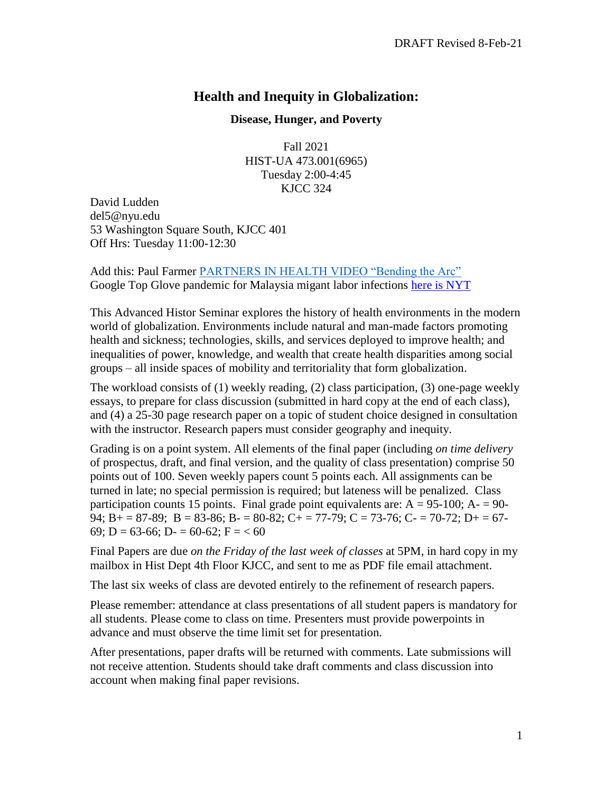# **Health and Inequity in Globalization:**

## **Disease, Hunger, and Poverty**

Fall 2021 HIST-UA 473.001(6965) Tuesday 2:00-4:45 KJCC 324

David Ludden del5@nyu.edu 53 Washington Square South, KJCC 401 Off Hrs: Tuesday 11:00-12:30

Add this: Paul Farmer [PARTNERS IN HEALTH VIDEO "Bending the Arc"](https://video.alexanderstreet.com/watch/bending-the-arc) Google Top Glove pandemic for Malaysia migant labor infections [here is NYT](https://www.nytimes.com/2020/12/20/world/asia/top-glove-ppe-covid-malaysia-workers.html)

This Advanced Histor Seminar explores the history of health environments in the modern world of globalization. Environments include natural and man-made factors promoting health and sickness; technologies, skills, and services deployed to improve health; and inequalities of power, knowledge, and wealth that create health disparities among social groups – all inside spaces of mobility and territoriality that form globalization.

The workload consists of (1) weekly reading, (2) class participation, (3) one-page weekly essays, to prepare for class discussion (submitted in hard copy at the end of each class), and (4) a 25-30 page research paper on a topic of student choice designed in consultation with the instructor. Research papers must consider geography and inequity.

Grading is on a point system. All elements of the final paper (including *on time delivery* of prospectus, draft, and final version, and the quality of class presentation) comprise 50 points out of 100. Seven weekly papers count 5 points each. All assignments can be turned in late; no special permission is required; but lateness will be penalized. Class participation counts 15 points. Final grade point equivalents are:  $A = 95-100$ ;  $A = 90-$ 94; B + = 87-89; B = 83-86; B - = 80-82; C + = 77-79; C = 73-76; C - = 70-72; D + = 67-69; D = 63-66; D- = 60-62; F =  $<$  60

Final Papers are due *on the Friday of the last week of classes* at 5PM, in hard copy in my mailbox in Hist Dept 4th Floor KJCC, and sent to me as PDF file email attachment.

The last six weeks of class are devoted entirely to the refinement of research papers.

Please remember: attendance at class presentations of all student papers is mandatory for all students. Please come to class on time. Presenters must provide powerpoints in advance and must observe the time limit set for presentation.

After presentations, paper drafts will be returned with comments. Late submissions will not receive attention. Students should take draft comments and class discussion into account when making final paper revisions.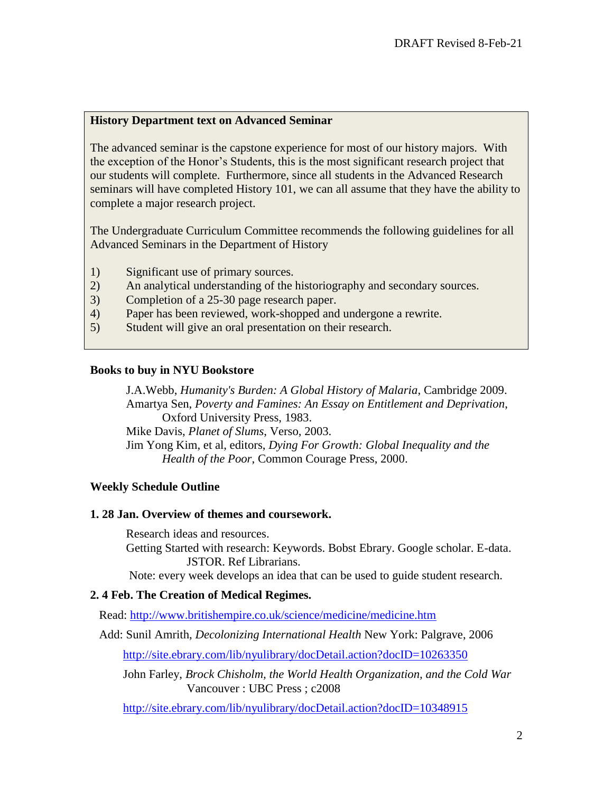# **History Department text on Advanced Seminar**

The advanced seminar is the capstone experience for most of our history majors. With the exception of the Honor's Students, this is the most significant research project that our students will complete. Furthermore, since all students in the Advanced Research seminars will have completed History 101, we can all assume that they have the ability to complete a major research project.

The Undergraduate Curriculum Committee recommends the following guidelines for all Advanced Seminars in the Department of History

- 1) Significant use of primary sources.
- 2) An analytical understanding of the historiography and secondary sources.
- 3) Completion of a 25-30 page research paper.
- 4) Paper has been reviewed, work-shopped and undergone a rewrite.
- 5) Student will give an oral presentation on their research.

#### **Books to buy in NYU Bookstore**

J.A.Webb, *Humanity's Burden: A Global History of Malaria*, Cambridge 2009. Amartya Sen, *Poverty and Famines: An Essay on Entitlement and Deprivation*, Oxford University Press, 1983. Mike Davis, *Planet of Slums*, Verso, 2003. Jim Yong Kim, et al, editors, *Dying For Growth: Global Inequality and the* 

*Health of the Poor*, Common Courage Press, 2000.

# **Weekly Schedule Outline**

## **1. 28 Jan. Overview of themes and coursework.**

Research ideas and resources.

Getting Started with research: Keywords. Bobst Ebrary. Google scholar. E-data. JSTOR. Ref Librarians.

Note: every week develops an idea that can be used to guide student research.

## **2. 4 Feb. The Creation of Medical Regimes.**

Read:<http://www.britishempire.co.uk/science/medicine/medicine.htm>

Add: Sunil Amrith, *Decolonizing International Health* New York: Palgrave, 2006

<http://site.ebrary.com/lib/nyulibrary/docDetail.action?docID=10263350>

 John Farley, *Brock Chisholm, the World Health Organization, and the Cold War* Vancouver : UBC Press ; c2008

<http://site.ebrary.com/lib/nyulibrary/docDetail.action?docID=10348915>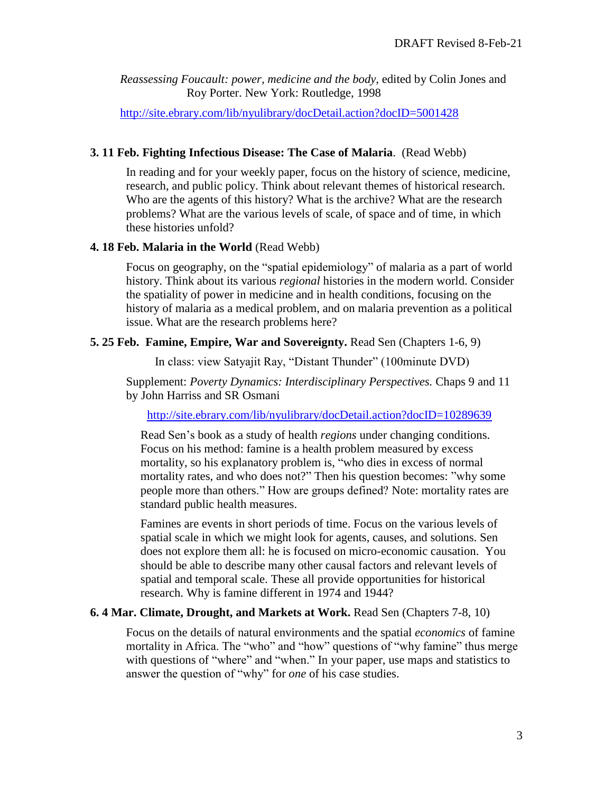*Reassessing Foucault: power, medicine and the body*, edited by Colin Jones and Roy Porter. New York: Routledge, 1998

<http://site.ebrary.com/lib/nyulibrary/docDetail.action?docID=5001428>

#### **3. 11 Feb. Fighting Infectious Disease: The Case of Malaria**. (Read Webb)

In reading and for your weekly paper, focus on the history of science, medicine, research, and public policy. Think about relevant themes of historical research. Who are the agents of this history? What is the archive? What are the research problems? What are the various levels of scale, of space and of time, in which these histories unfold?

#### **4. 18 Feb. Malaria in the World** (Read Webb)

Focus on geography, on the "spatial epidemiology" of malaria as a part of world history. Think about its various *regional* histories in the modern world. Consider the spatiality of power in medicine and in health conditions, focusing on the history of malaria as a medical problem, and on malaria prevention as a political issue. What are the research problems here?

#### **5. 25 Feb. Famine, Empire, War and Sovereignty.** Read Sen (Chapters 1-6, 9)

In class: view Satyajit Ray, "Distant Thunder" (100minute DVD)

Supplement: *Poverty Dynamics: Interdisciplinary Perspectives.* Chaps 9 and 11 by John Harriss and SR Osmani

<http://site.ebrary.com/lib/nyulibrary/docDetail.action?docID=10289639>

Read Sen's book as a study of health *regions* under changing conditions. Focus on his method: famine is a health problem measured by excess mortality, so his explanatory problem is, "who dies in excess of normal mortality rates, and who does not?" Then his question becomes: "why some people more than others." How are groups defined? Note: mortality rates are standard public health measures.

Famines are events in short periods of time. Focus on the various levels of spatial scale in which we might look for agents, causes, and solutions. Sen does not explore them all: he is focused on micro-economic causation. You should be able to describe many other causal factors and relevant levels of spatial and temporal scale. These all provide opportunities for historical research. Why is famine different in 1974 and 1944?

## **6. 4 Mar. Climate, Drought, and Markets at Work.** Read Sen (Chapters 7-8, 10)

Focus on the details of natural environments and the spatial *economics* of famine mortality in Africa. The "who" and "how" questions of "why famine" thus merge with questions of "where" and "when." In your paper, use maps and statistics to answer the question of "why" for *one* of his case studies.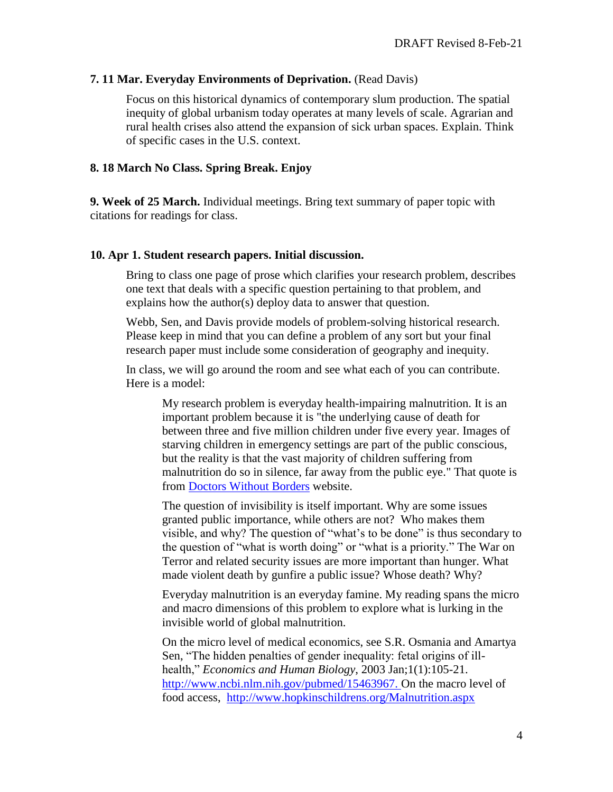# **7. 11 Mar. Everyday Environments of Deprivation.** (Read Davis)

Focus on this historical dynamics of contemporary slum production. The spatial inequity of global urbanism today operates at many levels of scale. Agrarian and rural health crises also attend the expansion of sick urban spaces. Explain. Think of specific cases in the U.S. context.

# **8. 18 March No Class. Spring Break. Enjoy**

**9. Week of 25 March.** Individual meetings. Bring text summary of paper topic with citations for readings for class.

# **10. Apr 1. Student research papers. Initial discussion.**

Bring to class one page of prose which clarifies your research problem, describes one text that deals with a specific question pertaining to that problem, and explains how the author(s) deploy data to answer that question.

Webb, Sen, and Davis provide models of problem-solving historical research. Please keep in mind that you can define a problem of any sort but your final research paper must include some consideration of geography and inequity.

In class, we will go around the room and see what each of you can contribute. Here is a model:

My research problem is everyday health-impairing malnutrition. It is an important problem because it is "the underlying cause of death for between three and five million children under five every year. Images of starving children in emergency settings are part of the public conscious, but the reality is that the vast majority of children suffering from malnutrition do so in silence, far away from the public eye." That quote is from [Doctors Without Borders](http://www.doctorswithoutborders.org/publications/article.cfm?id=3270&cat=special-report) website.

The question of invisibility is itself important. Why are some issues granted public importance, while others are not? Who makes them visible, and why? The question of "what's to be done" is thus secondary to the question of "what is worth doing" or "what is a priority." The War on Terror and related security issues are more important than hunger. What made violent death by gunfire a public issue? Whose death? Why?

Everyday malnutrition is an everyday famine. My reading spans the micro and macro dimensions of this problem to explore what is lurking in the invisible world of global malnutrition.

On the micro level of medical economics, see S.R. Osmania and Amartya Sen, "The hidden penalties of gender inequality: fetal origins of illhealth," *Economics and Human Biology*, 2003 Jan;1(1):105-21. [http://www.ncbi.nlm.nih.gov/pubmed/15463967.](http://www.ncbi.nlm.nih.gov/pubmed/15463967) On the macro level of food access, <http://www.hopkinschildrens.org/Malnutrition.aspx>